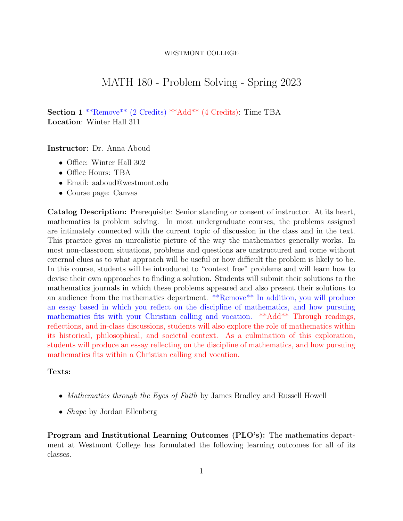#### WESTMONT COLLEGE

# MATH 180 - Problem Solving - Spring 2023

Section 1 \*\*Remove\*\* (2 Credits) \*\*Add\*\* (4 Credits): Time TBA Location: Winter Hall 311

Instructor: Dr. Anna Aboud

- Office: Winter Hall 302
- Office Hours: TBA
- Email: aaboud@westmont.edu
- Course page: Canvas

Catalog Description: Prerequisite: Senior standing or consent of instructor. At its heart, mathematics is problem solving. In most undergraduate courses, the problems assigned are intimately connected with the current topic of discussion in the class and in the text. This practice gives an unrealistic picture of the way the mathematics generally works. In most non-classroom situations, problems and questions are unstructured and come without external clues as to what approach will be useful or how difficult the problem is likely to be. In this course, students will be introduced to "context free" problems and will learn how to devise their own approaches to finding a solution. Students will submit their solutions to the mathematics journals in which these problems appeared and also present their solutions to an audience from the mathematics department. \*\*Remove\*\* In addition, you will produce an essay based in which you reflect on the discipline of mathematics, and how pursuing mathematics fits with your Christian calling and vocation. \*\*Add\*\* Through readings, reflections, and in-class discussions, students will also explore the role of mathematics within its historical, philosophical, and societal context. As a culmination of this exploration, students will produce an essay reflecting on the discipline of mathematics, and how pursuing mathematics fits within a Christian calling and vocation.

### Texts:

- Mathematics through the Eyes of Faith by James Bradley and Russell Howell
- *Shape* by Jordan Ellenberg

Program and Institutional Learning Outcomes (PLO's): The mathematics department at Westmont College has formulated the following learning outcomes for all of its classes.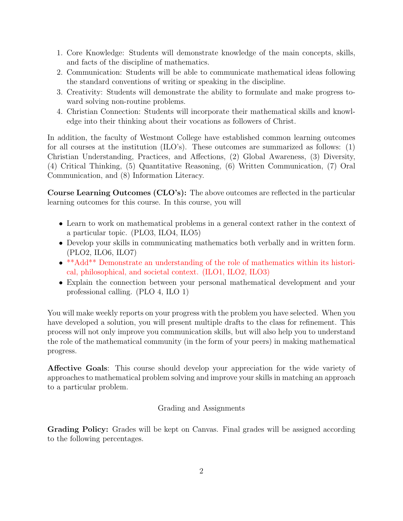- 1. Core Knowledge: Students will demonstrate knowledge of the main concepts, skills, and facts of the discipline of mathematics.
- 2. Communication: Students will be able to communicate mathematical ideas following the standard conventions of writing or speaking in the discipline.
- 3. Creativity: Students will demonstrate the ability to formulate and make progress toward solving non-routine problems.
- 4. Christian Connection: Students will incorporate their mathematical skills and knowledge into their thinking about their vocations as followers of Christ.

In addition, the faculty of Westmont College have established common learning outcomes for all courses at the institution (ILO's). These outcomes are summarized as follows: (1) Christian Understanding, Practices, and Affections, (2) Global Awareness, (3) Diversity, (4) Critical Thinking, (5) Quantitative Reasoning, (6) Written Communication, (7) Oral Communication, and (8) Information Literacy.

Course Learning Outcomes (CLO's): The above outcomes are reflected in the particular learning outcomes for this course. In this course, you will

- Learn to work on mathematical problems in a general context rather in the context of a particular topic. (PLO3, ILO4, ILO5)
- Develop your skills in communicating mathematics both verbally and in written form. (PLO2, ILO6, ILO7)
- \*\*Add\*\* Demonstrate an understanding of the role of mathematics within its historical, philosophical, and societal context. (ILO1, ILO2, ILO3)
- Explain the connection between your personal mathematical development and your professional calling. (PLO 4, ILO 1)

You will make weekly reports on your progress with the problem you have selected. When you have developed a solution, you will present multiple drafts to the class for refinement. This process will not only improve you communication skills, but will also help you to understand the role of the mathematical community (in the form of your peers) in making mathematical progress.

Affective Goals: This course should develop your appreciation for the wide variety of approaches to mathematical problem solving and improve your skills in matching an approach to a particular problem.

## Grading and Assignments

Grading Policy: Grades will be kept on Canvas. Final grades will be assigned according to the following percentages.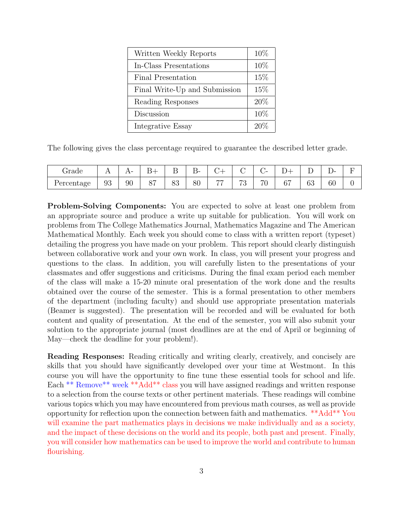| Written Weekly Reports        | 10%  |
|-------------------------------|------|
| In-Class Presentations        | 10\% |
| Final Presentation            | 15%  |
| Final Write-Up and Submission | 15%  |
| Reading Responses             | 20%  |
| Discussion                    | 10%  |
| Integrative Essay             | 20%  |

The following gives the class percentage required to guarantee the described letter grade.

| ∼<br>Grade | <b>A A</b> | . . | ∽<br>$\sim$ $ -$<br><u>.</u> | Ē<br>௪        | $\overline{\phantom{0}}$<br>$\sim$<br>് | ___            |                   | ~<br>$\overline{\phantom{a}}$<br>$\check{ }$ | $\overline{\phantom{0}}$<br>- |                              | <br>∸  | - |
|------------|------------|-----|------------------------------|---------------|-----------------------------------------|----------------|-------------------|----------------------------------------------|-------------------------------|------------------------------|--------|---|
| Percentage | 03<br>◡◡   | 90  | $\circ$<br>◡                 | $\circ$<br>ಲು | 80                                      | $\overline{a}$ | $\mathbf{E}$<br>◡ | 70                                           | $c\tau$<br>v,                 | $\mathcal{L}^{\Omega}$<br>υJ | $60\,$ |   |

Problem-Solving Components: You are expected to solve at least one problem from an appropriate source and produce a write up suitable for publication. You will work on problems from The College Mathematics Journal, Mathematics Magazine and The American Mathematical Monthly. Each week you should come to class with a written report (typeset) detailing the progress you have made on your problem. This report should clearly distinguish between collaborative work and your own work. In class, you will present your progress and questions to the class. In addition, you will carefully listen to the presentations of your classmates and offer suggestions and criticisms. During the final exam period each member of the class will make a 15-20 minute oral presentation of the work done and the results obtained over the course of the semester. This is a formal presentation to other members of the department (including faculty) and should use appropriate presentation materials (Beamer is suggested). The presentation will be recorded and will be evaluated for both content and quality of presentation. At the end of the semester, you will also submit your solution to the appropriate journal (most deadlines are at the end of April or beginning of May—check the deadline for your problem!).

Reading Responses: Reading critically and writing clearly, creatively, and concisely are skills that you should have significantly developed over your time at Westmont. In this course you will have the opportunity to fine tune these essential tools for school and life. Each \*\* Remove\*\* week \*\*Add\*\* class you will have assigned readings and written response to a selection from the course texts or other pertinent materials. These readings will combine various topics which you may have encountered from previous math courses, as well as provide opportunity for reflection upon the connection between faith and mathematics. \*\*Add\*\* You will examine the part mathematics plays in decisions we make individually and as a society, and the impact of these decisions on the world and its people, both past and present. Finally, you will consider how mathematics can be used to improve the world and contribute to human flourishing.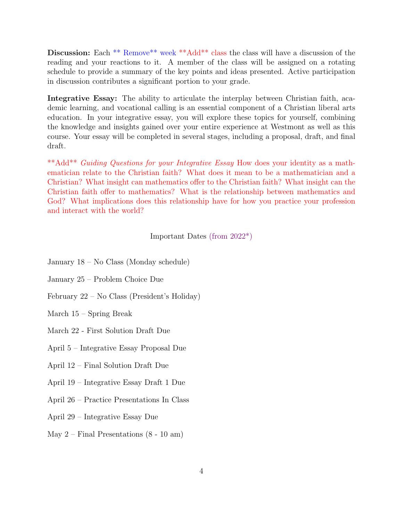Discussion: Each \*\* Remove\*\* week \*\*Add\*\* class the class will have a discussion of the reading and your reactions to it. A member of the class will be assigned on a rotating schedule to provide a summary of the key points and ideas presented. Active participation in discussion contributes a significant portion to your grade.

Integrative Essay: The ability to articulate the interplay between Christian faith, academic learning, and vocational calling is an essential component of a Christian liberal arts education. In your integrative essay, you will explore these topics for yourself, combining the knowledge and insights gained over your entire experience at Westmont as well as this course. Your essay will be completed in several stages, including a proposal, draft, and final draft.

\*\*Add\*\* Guiding Questions for your Integrative Essay How does your identity as a mathematician relate to the Christian faith? What does it mean to be a mathematician and a Christian? What insight can mathematics offer to the Christian faith? What insight can the Christian faith offer to mathematics? What is the relationship between mathematics and God? What implications does this relationship have for how you practice your profession and interact with the world?

Important Dates (from 2022\*)

- January 18 No Class (Monday schedule)
- January 25 Problem Choice Due
- February 22 No Class (President's Holiday)
- March 15 Spring Break
- March 22 First Solution Draft Due
- April 5 Integrative Essay Proposal Due
- April 12 Final Solution Draft Due
- April 19 Integrative Essay Draft 1 Due
- April 26 Practice Presentations In Class
- April 29 Integrative Essay Due
- May 2 Final Presentations (8 10 am)